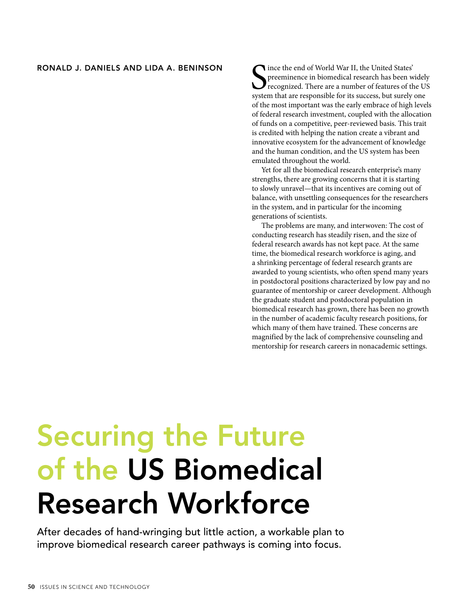## **RONALD J. DANIELS AND LIDA A. BENINSON**

Since the end of World War II, the United States' preeminence in biomedical research has been widely recognized. There are a number of features of the Usystem that are responsible for its success, but surely one ince the end of World War II, the United States' preeminence in biomedical research has been widely recognized. There are a number of features of the US of the most important was the early embrace of high levels of federal research investment, coupled with the allocation of funds on a competitive, peer-reviewed basis. This trait is credited with helping the nation create a vibrant and innovative ecosystem for the advancement of knowledge and the human condition, and the US system has been emulated throughout the world.

Yet for all the biomedical research enterprise's many strengths, there are growing concerns that it is starting to slowly unravel—that its incentives are coming out of balance, with unsettling consequences for the researchers in the system, and in particular for the incoming generations of scientists.

The problems are many, and interwoven: The cost of conducting research has steadily risen, and the size of federal research awards has not kept pace. At the same time, the biomedical research workforce is aging, and a shrinking percentage of federal research grants are awarded to young scientists, who often spend many years in postdoctoral positions characterized by low pay and no guarantee of mentorship or career development. Although the graduate student and postdoctoral population in biomedical research has grown, there has been no growth in the number of academic faculty research positions, for which many of them have trained. These concerns are magnified by the lack of comprehensive counseling and mentorship for research careers in nonacademic settings.

## **Securing the Future of the US Biomedical Research Workforce**

After decades of hand-wringing but little action, a workable plan to improve biomedical research career pathways is coming into focus.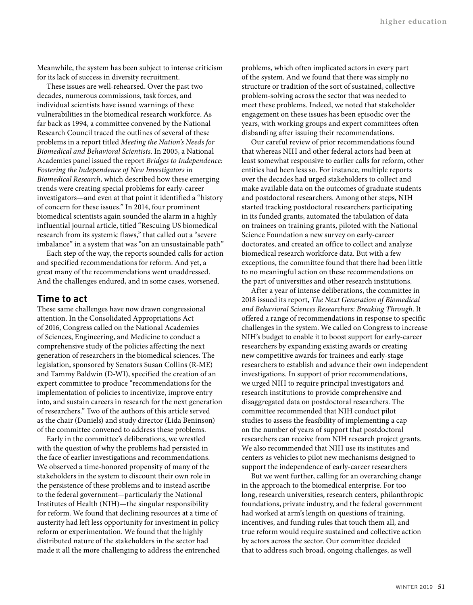Meanwhile, the system has been subject to intense criticism for its lack of success in diversity recruitment.

These issues are well-rehearsed. Over the past two decades, numerous commissions, task forces, and individual scientists have issued warnings of these vulnerabilities in the biomedical research workforce. As far back as 1994, a committee convened by the National Research Council traced the outlines of several of these problems in a report titled *Meeting the Nation's Needs for Biomedical and Behavioral Scientists*. In 2005, a National Academies panel issued the report *Bridges to Independence: Fostering the Independence of New Investigators in Biomedical Research*, which described how these emerging trends were creating special problems for early-career investigators—and even at that point it identified a "history of concern for these issues." In 2014, four prominent biomedical scientists again sounded the alarm in a highly influential journal article, titled "Rescuing US biomedical research from its systemic flaws," that called out a "severe imbalance" in a system that was "on an unsustainable path"

Each step of the way, the reports sounded calls for action and specified recommendations for reform. And yet, a great many of the recommendations went unaddressed. And the challenges endured, and in some cases, worsened.

## **Time to act**

These same challenges have now drawn congressional attention. In the Consolidated Appropriations Act of 2016, Congress called on the National Academies of Sciences, Engineering, and Medicine to conduct a comprehensive study of the policies affecting the next generation of researchers in the biomedical sciences. The legislation, sponsored by Senators Susan Collins (R-ME) and Tammy Baldwin (D-WI), specified the creation of an expert committee to produce "recommendations for the implementation of policies to incentivize, improve entry into, and sustain careers in research for the next generation of researchers." Two of the authors of this article served as the chair (Daniels) and study director (Lida Beninson) of the committee convened to address these problems.

Early in the committee's deliberations, we wrestled with the question of why the problems had persisted in the face of earlier investigations and recommendations. We observed a time-honored propensity of many of the stakeholders in the system to discount their own role in the persistence of these problems and to instead ascribe to the federal government—particularly the National Institutes of Health (NIH)—the singular responsibility for reform. We found that declining resources at a time of austerity had left less opportunity for investment in policy reform or experimentation. We found that the highly distributed nature of the stakeholders in the sector had made it all the more challenging to address the entrenched problems, which often implicated actors in every part of the system. And we found that there was simply no structure or tradition of the sort of sustained, collective problem-solving across the sector that was needed to meet these problems. Indeed, we noted that stakeholder engagement on these issues has been episodic over the years, with working groups and expert committees often disbanding after issuing their recommendations.

Our careful review of prior recommendations found that whereas NIH and other federal actors had been at least somewhat responsive to earlier calls for reform, other entities had been less so. For instance, multiple reports over the decades had urged stakeholders to collect and make available data on the outcomes of graduate students and postdoctoral researchers. Among other steps, NIH started tracking postdoctoral researchers participating in its funded grants, automated the tabulation of data on trainees on training grants, piloted with the National Science Foundation a new survey on early-career doctorates, and created an office to collect and analyze biomedical research workforce data. But with a few exceptions, the committee found that there had been little to no meaningful action on these recommendations on the part of universities and other research institutions.

After a year of intense deliberations, the committee in 2018 issued its report, *The Next Generation of Biomedical and Behavioral Sciences Researchers: Breaking Through*. It offered a range of recommendations in response to specific challenges in the system. We called on Congress to increase NIH's budget to enable it to boost support for early-career researchers by expanding existing awards or creating new competitive awards for trainees and early-stage researchers to establish and advance their own independent investigations. In support of prior recommendations, we urged NIH to require principal investigators and research institutions to provide comprehensive and disaggregated data on postdoctoral researchers. The committee recommended that NIH conduct pilot studies to assess the feasibility of implementing a cap on the number of years of support that postdoctoral researchers can receive from NIH research project grants. We also recommended that NIH use its institutes and centers as vehicles to pilot new mechanisms designed to support the independence of early-career researchers

But we went further, calling for an overarching change in the approach to the biomedical enterprise. For too long, research universities, research centers, philanthropic foundations, private industry, and the federal government had worked at arm's length on questions of training, incentives, and funding rules that touch them all, and true reform would require sustained and collective action by actors across the sector. Our committee decided that to address such broad, ongoing challenges, as well